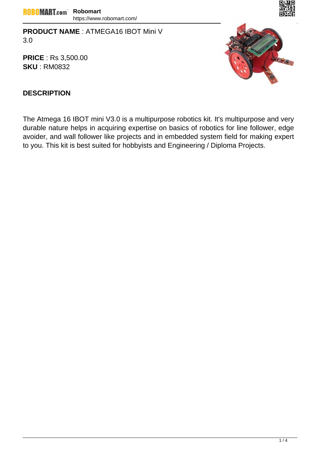**PRODUCT NAME** : ATMEGA16 IBOT Mini V 3.0

**PRICE** : Rs 3,500.00 **SKU** : RM0832



## **DESCRIPTION**

The Atmega 16 IBOT mini V3.0 is a multipurpose robotics kit. It's multipurpose and very durable nature helps in acquiring expertise on basics of robotics for line follower, edge avoider, and wall follower like projects and in embedded system field for making expert to you. This kit is best suited for hobbyists and Engineering / Diploma Projects.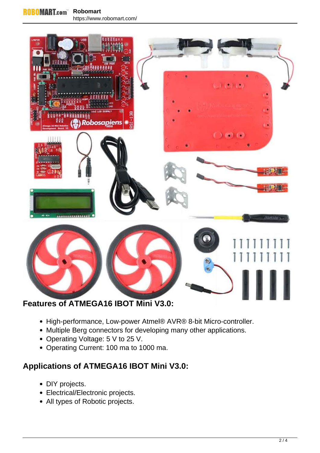

- High-performance, Low-power Atmel® AVR® 8-bit Micro-controller.
- Multiple Berg connectors for developing many other applications.
- Operating Voltage: 5 V to 25 V.
- Operating Current: 100 ma to 1000 ma.

## **Applications of ATMEGA16 IBOT Mini V3.0:**

- DIY projects.
- Electrical/Electronic projects.
- All types of Robotic projects.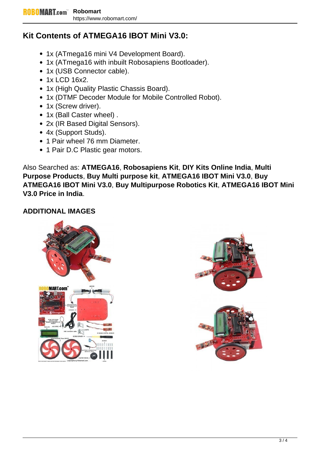## **Kit Contents of ATMEGA16 IBOT Mini V3.0:**

- 1x (ATmega16 mini V4 Development Board).
- 1x (ATmega16 with inbuilt Robosapiens Bootloader).
- 1x (USB Connector cable).
- 1x LCD 16x2.
- 1x (High Quality Plastic Chassis Board).
- 1x (DTMF Decoder Module for Mobile Controlled Robot).
- 1x (Screw driver).
- 1x (Ball Caster wheel).
- 2x (IR Based Digital Sensors).
- 4x (Support Studs).
- 1 Pair wheel 76 mm Diameter.
- 1 Pair D.C Plastic gear motors.

Also Searched as: **ATMEGA16**, **Robosapiens Kit**, **DIY Kits Online India**, **Multi Purpose Products**, **Buy Multi purpose kit**, **ATMEGA16 IBOT Mini V3.0**, **Buy ATMEGA16 IBOT Mini V3.0**, **Buy Multipurpose Robotics Kit**, **ATMEGA16 IBOT Mini V3.0 Price in India**.

## **ADDITIONAL IMAGES**